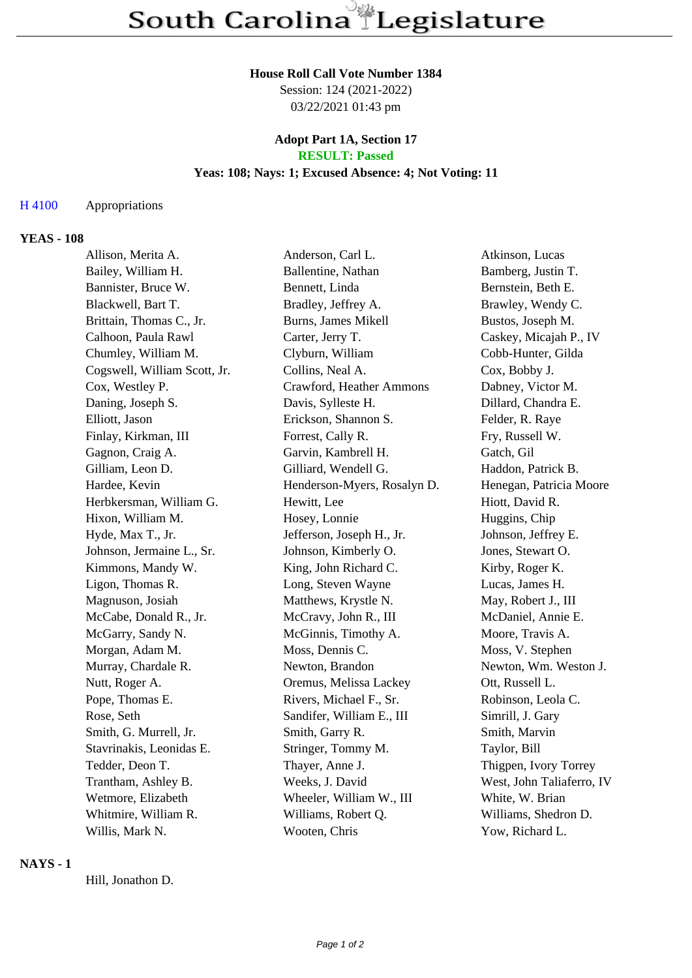# **House Roll Call Vote Number 1384**

Session: 124 (2021-2022) 03/22/2021 01:43 pm

#### **Adopt Part 1A, Section 17 RESULT: Passed**

# **Yeas: 108; Nays: 1; Excused Absence: 4; Not Voting: 11**

## H 4100 Appropriations

#### **YEAS - 108**

| Allison, Merita A.           | Anderson, Carl L.           | Atkinson, Lucas           |
|------------------------------|-----------------------------|---------------------------|
| Bailey, William H.           | Ballentine, Nathan          | Bamberg, Justin T.        |
| Bannister, Bruce W.          | Bennett, Linda              | Bernstein, Beth E.        |
| Blackwell, Bart T.           | Bradley, Jeffrey A.         | Brawley, Wendy C.         |
| Brittain, Thomas C., Jr.     | Burns, James Mikell         | Bustos, Joseph M.         |
| Calhoon, Paula Rawl          | Carter, Jerry T.            | Caskey, Micajah P., IV    |
| Chumley, William M.          | Clyburn, William            | Cobb-Hunter, Gilda        |
| Cogswell, William Scott, Jr. | Collins, Neal A.            | Cox, Bobby J.             |
| Cox, Westley P.              | Crawford, Heather Ammons    | Dabney, Victor M.         |
| Daning, Joseph S.            | Davis, Sylleste H.          | Dillard, Chandra E.       |
| Elliott, Jason               | Erickson, Shannon S.        | Felder, R. Raye           |
| Finlay, Kirkman, III         | Forrest, Cally R.           | Fry, Russell W.           |
| Gagnon, Craig A.             | Garvin, Kambrell H.         | Gatch, Gil                |
| Gilliam, Leon D.             | Gilliard, Wendell G.        | Haddon, Patrick B.        |
| Hardee, Kevin                | Henderson-Myers, Rosalyn D. | Henegan, Patricia Moore   |
| Herbkersman, William G.      | Hewitt, Lee                 | Hiott, David R.           |
| Hixon, William M.            | Hosey, Lonnie               | Huggins, Chip             |
| Hyde, Max T., Jr.            | Jefferson, Joseph H., Jr.   | Johnson, Jeffrey E.       |
| Johnson, Jermaine L., Sr.    | Johnson, Kimberly O.        | Jones, Stewart O.         |
| Kimmons, Mandy W.            | King, John Richard C.       | Kirby, Roger K.           |
| Ligon, Thomas R.             | Long, Steven Wayne          | Lucas, James H.           |
| Magnuson, Josiah             | Matthews, Krystle N.        | May, Robert J., III       |
| McCabe, Donald R., Jr.       | McCravy, John R., III       | McDaniel, Annie E.        |
| McGarry, Sandy N.            | McGinnis, Timothy A.        | Moore, Travis A.          |
| Morgan, Adam M.              | Moss, Dennis C.             | Moss, V. Stephen          |
| Murray, Chardale R.          | Newton, Brandon             | Newton, Wm. Weston J.     |
| Nutt, Roger A.               | Oremus, Melissa Lackey      | Ott, Russell L.           |
| Pope, Thomas E.              | Rivers, Michael F., Sr.     | Robinson, Leola C.        |
| Rose, Seth                   | Sandifer, William E., III   | Simrill, J. Gary          |
| Smith, G. Murrell, Jr.       | Smith, Garry R.             | Smith, Marvin             |
| Stavrinakis, Leonidas E.     | Stringer, Tommy M.          | Taylor, Bill              |
| Tedder, Deon T.              | Thayer, Anne J.             | Thigpen, Ivory Torrey     |
| Trantham, Ashley B.          | Weeks, J. David             | West, John Taliaferro, IV |
| Wetmore, Elizabeth           | Wheeler, William W., III    | White, W. Brian           |
| Whitmire, William R.         | Williams, Robert Q.         | Williams, Shedron D.      |
| Willis, Mark N.              | Wooten, Chris               | Yow, Richard L.           |
|                              |                             |                           |

# **NAYS - 1**

Hill, Jonathon D.